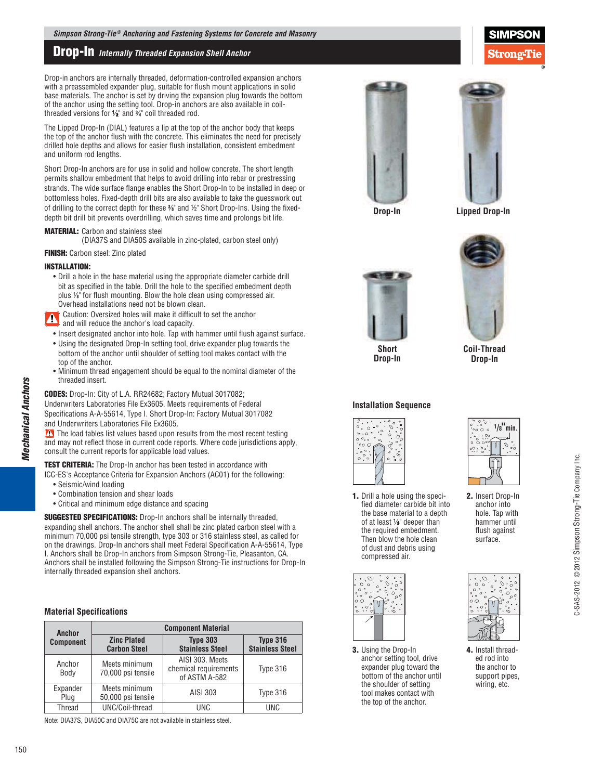# **Drop-In** *Internally Threaded Expansion Shell Anchor*

Drop-in anchors are internally threaded, deformation-controlled expansion anchors with a preassembled expander plug, suitable for flush mount applications in solid base materials. The anchor is set by driving the expansion plug towards the bottom of the anchor using the setting tool. Drop-in anchors are also available in coilthreaded versions for  $\frac{1}{2}$  and  $\frac{2}{4}$  coil threaded rod.

The Lipped Drop-In (DIAL) features a lip at the top of the anchor body that keeps the top of the anchor flush with the concrete. This eliminates the need for precisely drilled hole depths and allows for easier flush installation, consistent embedment and uniform rod lengths.

Short Drop-In anchors are for use in solid and hollow concrete. The short length permits shallow embedment that helps to avoid drilling into rebar or prestressing strands. The wide surface flange enables the Short Drop-In to be installed in deep or bottomless holes. Fixed-depth drill bits are also available to take the guesswork out of drilling to the correct depth for these  $\%$  and  $\%$  Short Drop-Ins. Using the fixeddepth bit drill bit prevents overdrilling, which saves time and prolongs bit life.

## **MATERIAL:** Carbon and stainless steel

(DIA37S and DIA50S available in zinc-plated, carbon steel only)

## **FINISH:** Carbon steel: Zinc plated

#### **INSTALLATION:**

• Drill a hole in the base material using the appropriate diameter carbide drill bit as specified in the table. Drill the hole to the specified embedment depth plus  $\frac{1}{8}$ " for flush mounting. Blow the hole clean using compressed air. Overhead installations need not be blown clean.

Caution: Oversized holes will make it difficult to set the anchor A and will reduce the anchor's load capacity.

- Insert designated anchor into hole. Tap with hammer until flush against surface.
- Using the designated Drop-In setting tool, drive expander plug towards the bottom of the anchor until shoulder of setting tool makes contact with the top of the anchor.
- Minimum thread engagement should be equal to the nominal diameter of the threaded insert.

**CODES:** Drop-In: City of L.A. RR24682; Factory Mutual 3017082; Underwriters Laboratories File Ex3605. Meets requirements of Federal Specifications A-A-55614, Type I. Short Drop-In: Factory Mutual 3017082.

and Underwriters Laboratories File Ex3605.

 $\Omega$  The load tables list values based upon results from the most recent testing and may not reflect those in current code reports. Where code jurisdictions apply, consult the current reports for applicable load values.

**TEST CRITERIA:** The Drop-In anchor has been tested in accordance with

- ICC-ES's Acceptance Criteria for Expansion Anchors (AC01) for the following:
	- Seismic/wind loading
	- Combination tension and shear loads
	- Critical and minimum edge distance and spacing

**SUGGESTED SPECIFICATIONS:** Drop-In anchors shall be internally threaded, expanding shell anchors. The anchor shell shall be zinc plated carbon steel with a minimum 70,000 psi tensile strength, type 303 or 316 stainless steel, as called for on the drawings. Drop-In anchors shall meet Federal Specification A-A-55614, Type I. Anchors shall be Drop-In anchors from Simpson Strong-Tie, Pleasanton, CA. Anchors shall be installed following the Simpson Strong-Tie instructions for Drop-In internally threaded expansion shell anchors.

# **Material Specifications**

| Anchor           | <b>Component Material</b>                 |                                                           |                                           |  |  |  |
|------------------|-------------------------------------------|-----------------------------------------------------------|-------------------------------------------|--|--|--|
| <b>Component</b> | <b>Zinc Plated</b><br><b>Carbon Steel</b> | <b>Type 303</b><br><b>Stainless Steel</b>                 | <b>Type 316</b><br><b>Stainless Steel</b> |  |  |  |
| Anchor<br>Body   | Meets minimum<br>70,000 psi tensile       | AISI 303. Meets<br>chemical requirements<br>of ASTM A-582 | Type 316                                  |  |  |  |
| Expander<br>Plug | Meets minimum<br>50,000 psi tensile       | AISI 303                                                  | Type 316                                  |  |  |  |
| Thread           | UNC/Coil-thread                           | <b>UNC</b>                                                | <b>UNC</b>                                |  |  |  |

Note: DIA37S, DIA50C and DIA75C are not available in stainless steel.





**Drop-In** 

**Lipped Drop-In** 



**Short Drop-In** 

## **Installation Sequence**



**1.** Drill a hole using the specified diameter carbide bit into the base material to a depth of at least  $\frac{1}{8}$ " deeper than the required embedment. Then blow the hole clean of dust and debris using compressed air.



**3.** Using the Drop-In anchor setting tool, drive expander plug toward the bottom of the anchor until the shoulder of setting tool makes contact with the top of the anchor.



Coil-Thread **Drop-In** 

**2.** Insert Drop-In anchor into hole. Tap with hammer until flush against surface.



**4.** Install threaded rod into the anchor to support pipes, wiring, etc.